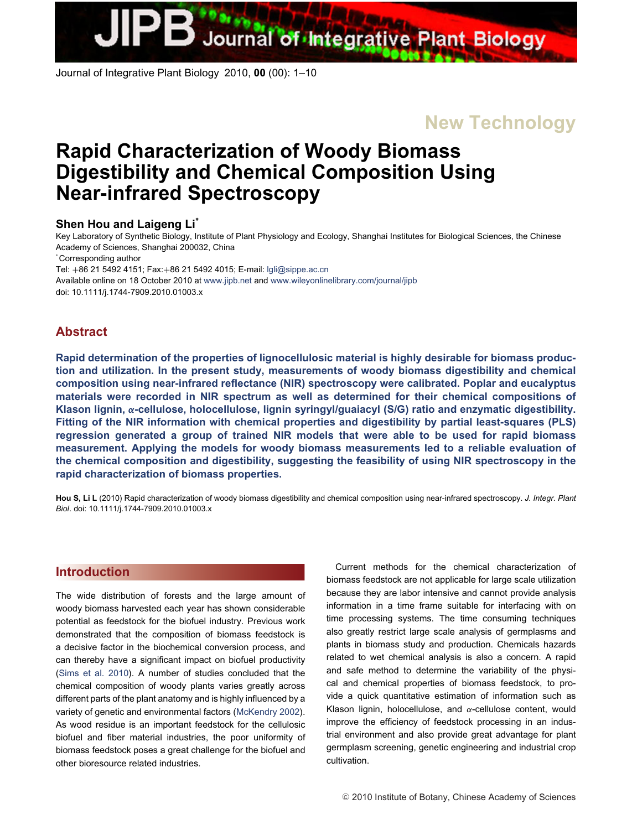Journal of Integrative Plant Biology 2010, **00** (00): 1–10

**New Technology**

# **Rapid Characterization of Woody Biomass Digestibility and Chemical Composition Using Near-infrared Spectroscopy**

# **Shen Hou and Laigeng Li<sup>∗</sup>**

Key Laboratory of Synthetic Biology, Institute of Plant Physiology and Ecology, Shanghai Institutes for Biological Sciences, the Chinese Academy of Sciences, Shanghai 200032, China

∗ Corresponding author

Tel: +86 21 5492 4151; Fax:+86 21 5492 4015; E-mail: [lgli@sippe.ac.cn](mailto:lgli@sippe.ac.cn) Available online on 18 October 2010 at [www.jipb.net](file:www.jipb.net) and www.wileyonlinelibrary.com/journal/jipb doi: 10.1111/j.1744-7909.2010.01003.x

# **Abstract**

**Rapid determination of the properties of lignocellulosic material is highly desirable for biomass production and utilization. In the present study, measurements of woody biomass digestibility and chemical composition using near-infrared reflectance (NIR) spectroscopy were calibrated. Poplar and eucalyptus materials were recorded in NIR spectrum as well as determined for their chemical compositions of Klason lignin,** *α***-cellulose, holocellulose, lignin syringyl/guaiacyl (S/G) ratio and enzymatic digestibility. Fitting of the NIR information with chemical properties and digestibility by partial least-squares (PLS) regression generated a group of trained NIR models that were able to be used for rapid biomass measurement. Applying the models for woody biomass measurements led to a reliable evaluation of the chemical composition and digestibility, suggesting the feasibility of using NIR spectroscopy in the rapid characterization of biomass properties.**

**Hou S, Li L** (2010) Rapid characterization of woody biomass digestibility and chemical composition using near-infrared spectroscopy. *J. Integr. Plant Biol*. doi: 10.1111/j.1744-7909.2010.01003.x

# **[Introduction](/app/teTeX/techbooks/blackwell/jipb/Head.eps)**

The wide distribution of forests and the large amount of woody biomass harvested each year has shown considerable potential as feedstock for the biofuel industry. Previous work demonstrated that the composition of biomass feedstock is a decisive factor in the biochemical conversion process, and can thereby have a significant impact on biofuel productivity [\(Sims et al. 2010\)](#page-8-0). A number of studies concluded that the chemical composition of woody plants varies greatly across different parts of the plant anatomy and is highly influenced by a variety of genetic and environmental factors [\(McKendry 2002\)](#page-8-1). As wood residue is an important feedstock for the cellulosic biofuel and fiber material industries, the poor uniformity of biomass feedstock poses a great challenge for the biofuel and other bioresource related industries.

Current methods for the chemical characterization of biomass feedstock are not applicable for large scale utilization because they are labor intensive and cannot provide analysis information in a time frame suitable for interfacing with on time processing systems. The time consuming techniques also greatly restrict large scale analysis of germplasms and plants in biomass study and production. Chemicals hazards related to wet chemical analysis is also a concern. A rapid and safe method to determine the variability of the physical and chemical properties of biomass feedstock, to provide a quick quantitative estimation of information such as Klason lignin, holocellulose, and  $\alpha$ -cellulose content, would improve the efficiency of feedstock processing in an industrial environment and also provide great advantage for plant germplasm screening, genetic engineering and industrial crop cultivation.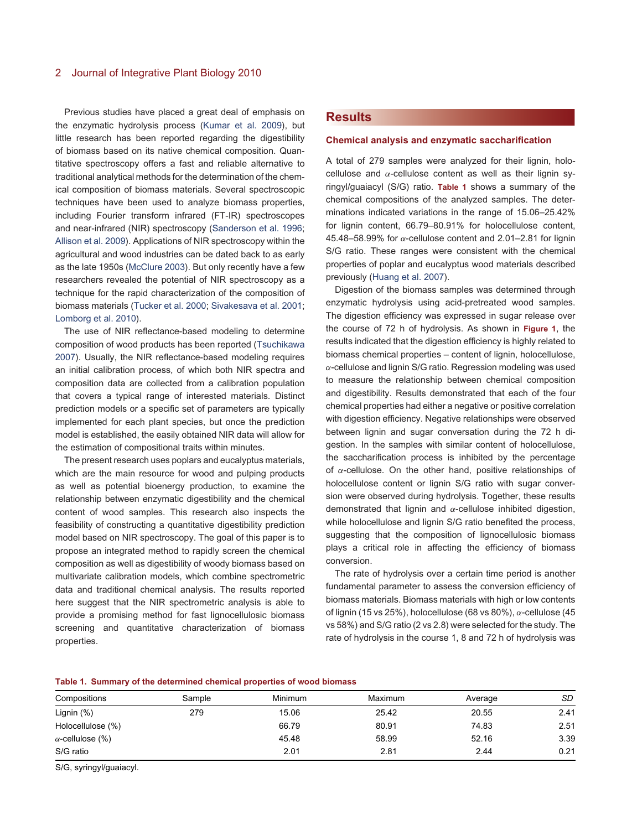Previous studies have placed a great deal of emphasis on the enzymatic hydrolysis process [\(Kumar et al. 2009\)](#page-8-2), but little research has been reported regarding the digestibility of biomass based on its native chemical composition. Quantitative spectroscopy offers a fast and reliable alternative to traditional analytical methods for the determination of the chemical composition of biomass materials. Several spectroscopic techniques have been used to analyze biomass properties, including Fourier transform infrared (FT-IR) spectroscopes and near-infrared (NIR) spectroscopy [\(Sanderson et al. 1996;](#page-8-3) [Allison et al. 2009\)](#page-8-4). Applications of NIR spectroscopy within the agricultural and wood industries can be dated back to as early as the late 1950s [\(McClure 2003\)](#page-8-5). But only recently have a few researchers revealed the potential of NIR spectroscopy as a technique for the rapid characterization of the composition of biomass materials [\(Tucker et al. 2000;](#page-9-0) [Sivakesava et al. 2001;](#page-9-1) [Lomborg et al. 2010\)](#page-8-6).

The use of NIR reflectance-based modeling to determine composition of wood products has been reported [\(Tsuchikawa](#page-9-2) [2007\)](#page-9-2). Usually, the NIR reflectance-based modeling requires an initial calibration process, of which both NIR spectra and composition data are collected from a calibration population that covers a typical range of interested materials. Distinct prediction models or a specific set of parameters are typically implemented for each plant species, but once the prediction model is established, the easily obtained NIR data will allow for the estimation of compositional traits within minutes.

The present research uses poplars and eucalyptus materials, which are the main resource for wood and pulping products as well as potential bioenergy production, to examine the relationship between enzymatic digestibility and the chemical content of wood samples. This research also inspects the feasibility of constructing a quantitative digestibility prediction model based on NIR spectroscopy. The goal of this paper is to propose an integrated method to rapidly screen the chemical composition as well as digestibility of woody biomass based on multivariate calibration models, which combine spectrometric data and traditional chemical analysis. The results reported here suggest that the NIR spectrometric analysis is able to provide a promising method for fast lignocellulosic biomass screening and quantitative characterization of biomass properties.

# **[Results](/app/teTeX/techbooks/blackwell/jipb/Head.eps)**

#### **Chemical analysis and enzymatic saccharification**

A total of 279 samples were analyzed for their lignin, holocellulose and  $\alpha$ -cellulose content as well as their lignin syringyl/guaiacyl (S/G) ratio. **[Table 1](#page-1-0)** shows a summary of the chemical compositions of the analyzed samples. The determinations indicated variations in the range of 15.06–25.42% for lignin content, 66.79–80.91% for holocellulose content, 45.48–58.99% for  $\alpha$ -cellulose content and 2.01–2.81 for lignin S/G ratio. These ranges were consistent with the chemical properties of poplar and eucalyptus wood materials described previously [\(Huang et al. 2007\)](#page-8-7).

Digestion of the biomass samples was determined through enzymatic hydrolysis using acid-pretreated wood samples. The digestion efficiency was expressed in sugar release over the course of 72 h of hydrolysis. As shown in **[Figure 1](#page-2-0)**, the results indicated that the digestion efficiency is highly related to biomass chemical properties – content of lignin, holocellulose,  $\alpha$ -cellulose and lignin S/G ratio. Regression modeling was used to measure the relationship between chemical composition and digestibility. Results demonstrated that each of the four chemical properties had either a negative or positive correlation with digestion efficiency. Negative relationships were observed between lignin and sugar conversation during the 72 h digestion. In the samples with similar content of holocellulose, the saccharification process is inhibited by the percentage of  $\alpha$ -cellulose. On the other hand, positive relationships of holocellulose content or lignin S/G ratio with sugar conversion were observed during hydrolysis. Together, these results demonstrated that lignin and  $\alpha$ -cellulose inhibited digestion, while holocellulose and lignin S/G ratio benefited the process, suggesting that the composition of lignocellulosic biomass plays a critical role in affecting the efficiency of biomass conversion.

<span id="page-1-0"></span>The rate of hydrolysis over a certain time period is another fundamental parameter to assess the conversion efficiency of biomass materials. Biomass materials with high or low contents of lignin (15 vs 25%), holocellulose (68 vs 80%), α-cellulose (45 vs 58%) and S/G ratio (2 vs 2.8) were selected for the study. The rate of hydrolysis in the course 1, 8 and 72 h of hydrolysis was

# **Table 1. Summary of the determined chemical properties of wood biomass**

| Compositions            | Sample | <b>Minimum</b> | Maximum | Average | SD   |  |
|-------------------------|--------|----------------|---------|---------|------|--|
| Lignin $(\%)$           | 279    | 15.06          | 25.42   | 20.55   | 2.41 |  |
| Holocellulose (%)       |        | 66.79          | 80.91   | 74.83   | 2.51 |  |
| $\alpha$ -cellulose (%) |        | 45.48          | 58.99   | 52.16   | 3.39 |  |
| S/G ratio               |        | 2.01           | 2.81    | 2.44    | 0.21 |  |

S/G, syringyl/guaiacyl.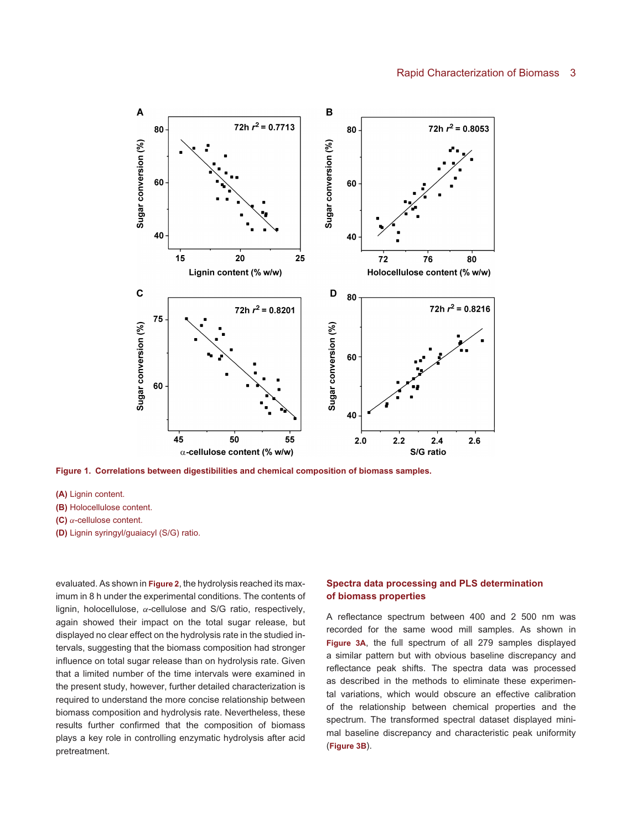#### Rapid Characterization of Biomass 3



<span id="page-2-0"></span>**Figure 1. Correlations between digestibilities and chemical composition of biomass samples.**

**(A)** Lignin content.

**(B)** Holocellulose content.

**(C)** α-cellulose content.

**(D)** Lignin syringyl/guaiacyl (S/G) ratio.

evaluated. As shown in **[Figure 2](#page-3-0)**, the hydrolysis reached its maximum in 8 h under the experimental conditions. The contents of lignin, holocellulose,  $\alpha$ -cellulose and S/G ratio, respectively, again showed their impact on the total sugar release, but displayed no clear effect on the hydrolysis rate in the studied intervals, suggesting that the biomass composition had stronger influence on total sugar release than on hydrolysis rate. Given that a limited number of the time intervals were examined in the present study, however, further detailed characterization is required to understand the more concise relationship between biomass composition and hydrolysis rate. Nevertheless, these results further confirmed that the composition of biomass plays a key role in controlling enzymatic hydrolysis after acid pretreatment.

# **Spectra data processing and PLS determination of biomass properties**

A reflectance spectrum between 400 and 2 500 nm was recorded for the same wood mill samples. As shown in **[Figure 3A](#page-4-0)**, the full spectrum of all 279 samples displayed a similar pattern but with obvious baseline discrepancy and reflectance peak shifts. The spectra data was processed as described in the methods to eliminate these experimental variations, which would obscure an effective calibration of the relationship between chemical properties and the spectrum. The transformed spectral dataset displayed minimal baseline discrepancy and characteristic peak uniformity (**[Figure 3B](#page-4-0)**).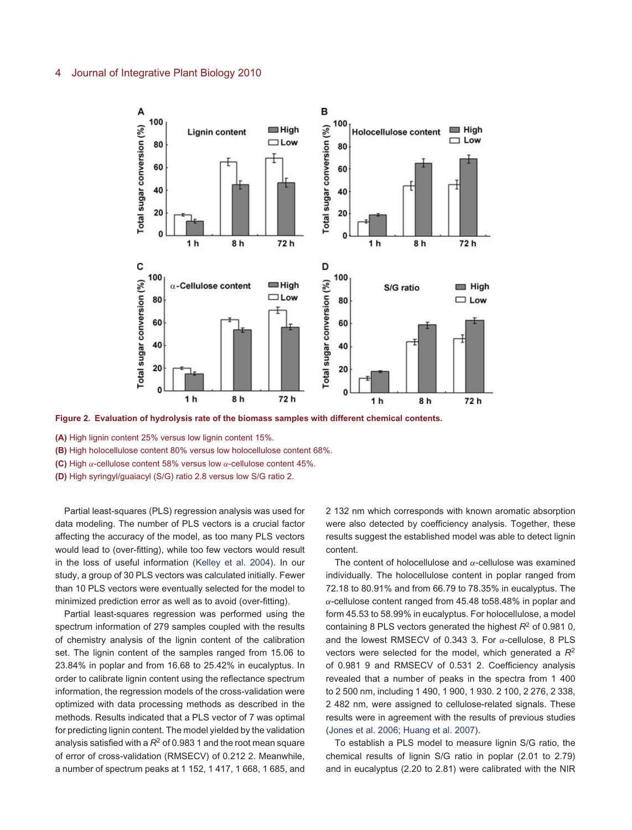

<span id="page-3-0"></span>**Figure 2. Evaluation of hydrolysis rate of the biomass samples with different chemical contents.**

- **(A)** High lignin content 25% versus low lignin content 15%.
- **(B)** High holocellulose content 80% versus low holocellulose content 68%.
- **(C)** High α-cellulose content 58% versus low α-cellulose content 45%.
- **(D)** High syringyl/guaiacyl (S/G) ratio 2.8 versus low S/G ratio 2.

Partial least-squares (PLS) regression analysis was used for data modeling. The number of PLS vectors is a crucial factor affecting the accuracy of the model, as too many PLS vectors would lead to (over-fitting), while too few vectors would result in the loss of useful information [\(Kelley et al. 2004\)](#page-8-8). In our study, a group of 30 PLS vectors was calculated initially. Fewer than 10 PLS vectors were eventually selected for the model to minimized prediction error as well as to avoid (over-fitting).

Partial least-squares regression was performed using the spectrum information of 279 samples coupled with the results of chemistry analysis of the lignin content of the calibration set. The lignin content of the samples ranged from 15.06 to 23.84% in poplar and from 16.68 to 25.42% in eucalyptus. In order to calibrate lignin content using the reflectance spectrum information, the regression models of the cross-validation were optimized with data processing methods as described in the methods. Results indicated that a PLS vector of 7 was optimal for predicting lignin content. The model yielded by the validation analysis satisfied with a  $R^2$  of 0.983 1 and the root mean square of error of cross-validation (RMSECV) of 0.212 2. Meanwhile, a number of spectrum peaks at 1 152, 1 417, 1 668, 1 685, and

2 132 nm which corresponds with known aromatic absorption were also detected by coefficiency analysis. Together, these results suggest the established model was able to detect lignin content.

The content of holocellulose and  $\alpha$ -cellulose was examined individually. The holocellulose content in poplar ranged from 72.18 to 80.91% and from 66.79 to 78.35% in eucalyptus. The  $\alpha$ -cellulose content ranged from 45.48 to 58.48% in poplar and form 45.53 to 58.99% in eucalyptus. For holocellulose, a model containing 8 PLS vectors generated the highest *R*<sup>2</sup> of 0.981 0, and the lowest RMSECV of 0.343 3. For  $\alpha$ -cellulose, 8 PLS vectors were selected for the model, which generated a *R*<sup>2</sup> of 0.981 9 and RMSECV of 0.531 2. Coefficiency analysis revealed that a number of peaks in the spectra from 1 400 to 2 500 nm, including 1 490, 1 900, 1 930. 2 100, 2 276, 2 338, 2 482 nm, were assigned to cellulose-related signals. These results were in agreement with the results of previous studies [\(Jones et al. 2006;](#page-8-9) [Huang et al. 2007\)](#page-8-7).

To establish a PLS model to measure lignin S/G ratio, the chemical results of lignin S/G ratio in poplar (2.01 to 2.79) and in eucalyptus (2.20 to 2.81) were calibrated with the NIR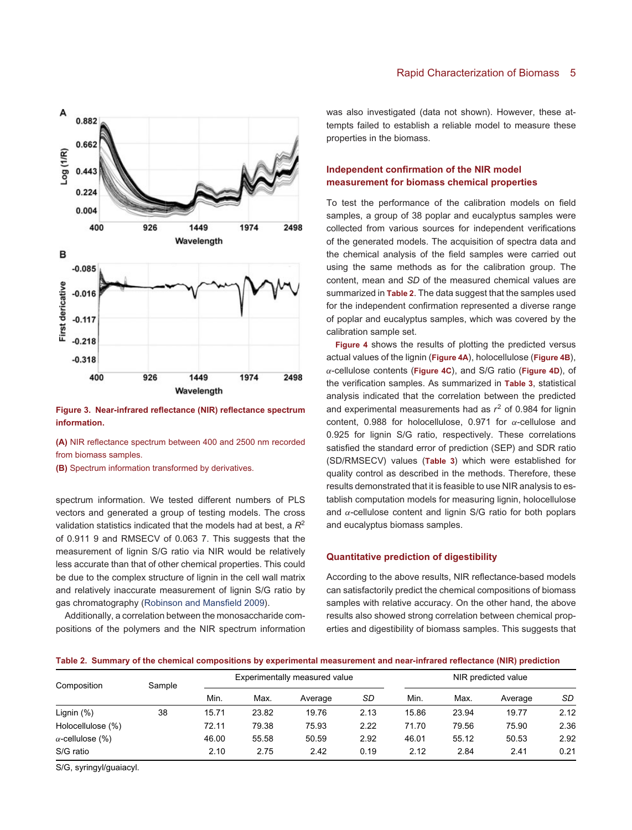

<span id="page-4-0"></span>**Figure 3. Near-infrared reflectance (NIR) reflectance spectrum information.**

**(A)** NIR reflectance spectrum between 400 and 2500 nm recorded from biomass samples.

**(B)** Spectrum information transformed by derivatives.

spectrum information. We tested different numbers of PLS vectors and generated a group of testing models. The cross validation statistics indicated that the models had at best, a *R*<sup>2</sup> of 0.911 9 and RMSECV of 0.063 7. This suggests that the measurement of lignin S/G ratio via NIR would be relatively less accurate than that of other chemical properties. This could be due to the complex structure of lignin in the cell wall matrix and relatively inaccurate measurement of lignin S/G ratio by gas chromatography [\(Robinson and Mansfield 2009\)](#page-8-10).

Additionally, a correlation between the monosaccharide compositions of the polymers and the NIR spectrum information was also investigated (data not shown). However, these attempts failed to establish a reliable model to measure these properties in the biomass.

# **Independent confirmation of the NIR model measurement for biomass chemical properties**

To test the performance of the calibration models on field samples, a group of 38 poplar and eucalyptus samples were collected from various sources for independent verifications of the generated models. The acquisition of spectra data and the chemical analysis of the field samples were carried out using the same methods as for the calibration group. The content, mean and *SD* of the measured chemical values are summarized in **[Table 2](#page-4-1)**. The data suggest that the samples used for the independent confirmation represented a diverse range of poplar and eucalyptus samples, which was covered by the calibration sample set.

**[Figure 4](#page-5-0)** shows the results of plotting the predicted versus actual values of the lignin (**[Figure 4A](#page-5-0)**), holocellulose (**[Figure 4B](#page-5-0)**), α-cellulose contents (**[Figure 4C](#page-5-0)**), and S/G ratio (**[Figure 4D](#page-5-0)**), of the verification samples. As summarized in **[Table 3](#page-6-0)**, statistical analysis indicated that the correlation between the predicted and experimental measurements had as  $r^2$  of 0.984 for lignin content, 0.988 for holocellulose, 0.971 for  $\alpha$ -cellulose and 0.925 for lignin S/G ratio, respectively. These correlations satisfied the standard error of prediction (SEP) and SDR ratio (SD/RMSECV) values (**[Table 3](#page-6-0)**) which were established for quality control as described in the methods. Therefore, these results demonstrated that it is feasible to use NIR analysis to establish computation models for measuring lignin, holocellulose and  $\alpha$ -cellulose content and lignin S/G ratio for both poplars and eucalyptus biomass samples.

### **Quantitative prediction of digestibility**

<span id="page-4-1"></span>According to the above results, NIR reflectance-based models can satisfactorily predict the chemical compositions of biomass samples with relative accuracy. On the other hand, the above results also showed strong correlation between chemical properties and digestibility of biomass samples. This suggests that

#### **Table 2. Summary of the chemical compositions by experimental measurement and near-infrared reflectance (NIR) prediction**

| Composition             | Sample | Experimentally measured value |       |         | NIR predicted value |       |       |         |      |
|-------------------------|--------|-------------------------------|-------|---------|---------------------|-------|-------|---------|------|
|                         |        | Min.                          | Max.  | Average | SD                  | Min.  | Max.  | Average | SD   |
| Lignin $(\%)$           | 38     | 15.71                         | 23.82 | 19.76   | 2.13                | 15.86 | 23.94 | 19.77   | 2.12 |
| Holocellulose (%)       |        | 72.11                         | 79.38 | 75.93   | 2.22                | 71.70 | 79.56 | 75.90   | 2.36 |
| $\alpha$ -cellulose (%) |        | 46.00                         | 55.58 | 50.59   | 2.92                | 46.01 | 55.12 | 50.53   | 2.92 |
| S/G ratio               |        | 2.10                          | 2.75  | 2.42    | 0.19                | 2.12  | 2.84  | 2.41    | 0.21 |

S/G, syringyl/guaiacyl.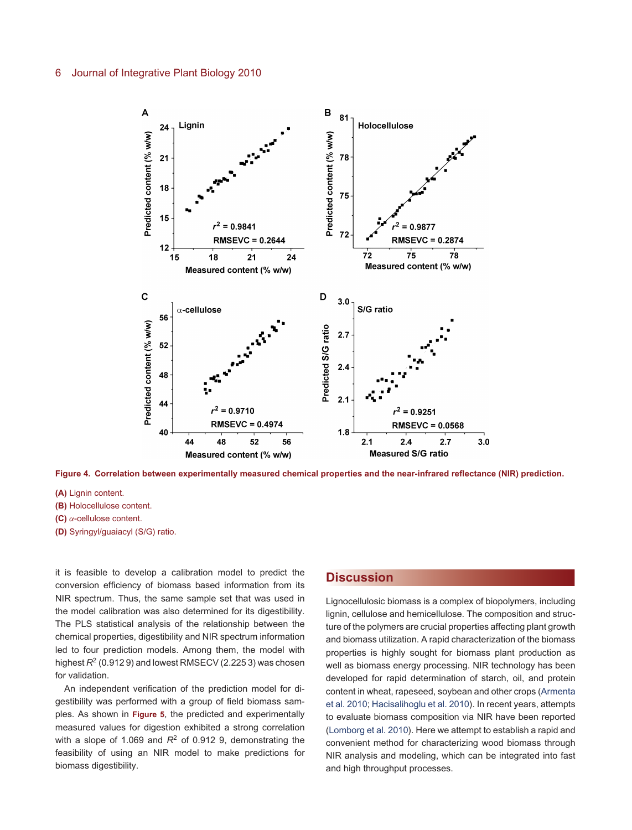

<span id="page-5-0"></span>**Figure 4. Correlation between experimentally measured chemical properties and the near-infrared reflectance (NIR) prediction.**

**(A)** Lignin content.

- **(B)** Holocellulose content.
- **(C)** α-cellulose content.
- **(D)** Syringyl/guaiacyl (S/G) ratio.

it is feasible to develop a calibration model to predict the conversion efficiency of biomass based information from its NIR spectrum. Thus, the same sample set that was used in the model calibration was also determined for its digestibility. The PLS statistical analysis of the relationship between the chemical properties, digestibility and NIR spectrum information led to four prediction models. Among them, the model with highest  $R^2$  (0.912 9) and lowest RMSECV (2.225 3) was chosen for validation.

An independent verification of the prediction model for digestibility was performed with a group of field biomass samples. As shown in **[Figure 5](#page-6-1)**, the predicted and experimentally measured values for digestion exhibited a strong correlation with a slope of 1.069 and  $R^2$  of 0.912 9, demonstrating the feasibility of using an NIR model to make predictions for biomass digestibility.

# **[Discussion](/app/teTeX/techbooks/blackwell/jipb/Head.eps)**

Lignocellulosic biomass is a complex of biopolymers, including lignin, cellulose and hemicellulose. The composition and structure of the polymers are crucial properties affecting plant growth and biomass utilization. A rapid characterization of the biomass properties is highly sought for biomass plant production as well as biomass energy processing. NIR technology has been developed for rapid determination of starch, oil, and protein content in wheat, rapeseed, soybean and other crops [\(Armenta](#page-8-11) [et al. 2010;](#page-8-11) [Hacisalihoglu et al. 2010\)](#page-8-12). In recent years, attempts to evaluate biomass composition via NIR have been reported [\(Lomborg et al. 2010\)](#page-8-6). Here we attempt to establish a rapid and convenient method for characterizing wood biomass through NIR analysis and modeling, which can be integrated into fast and high throughput processes.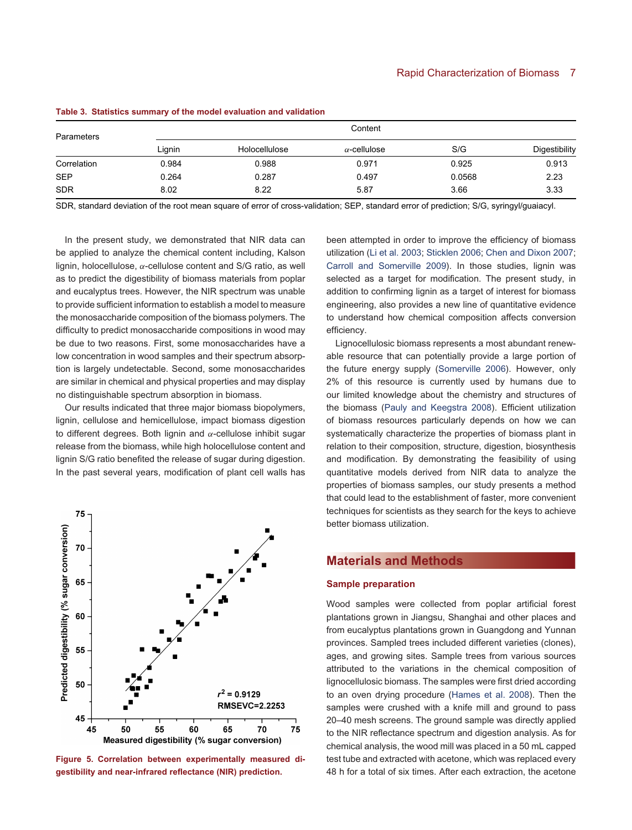| Parameters  |        | Content       |                     |        |               |  |  |
|-------------|--------|---------------|---------------------|--------|---------------|--|--|
|             | Lignin | Holocellulose | $\alpha$ -cellulose | S/G    | Digestibility |  |  |
| Correlation | 0.984  | 0.988         | 0.971               | 0.925  | 0.913         |  |  |
| <b>SEP</b>  | 0.264  | 0.287         | 0.497               | 0.0568 | 2.23          |  |  |
| <b>SDR</b>  | 8.02   | 8.22          | 5.87                | 3.66   | 3.33          |  |  |

**Table 3. Statistics summary of the model evaluation and validation**

SDR, standard deviation of the root mean square of error of cross-validation; SEP, standard error of prediction; S/G, syringyl/guaiacyl.

In the present study, we demonstrated that NIR data can be applied to analyze the chemical content including, Kalson lignin, holocellulose,  $\alpha$ -cellulose content and S/G ratio, as well as to predict the digestibility of biomass materials from poplar and eucalyptus trees. However, the NIR spectrum was unable to provide sufficient information to establish a model to measure the monosaccharide composition of the biomass polymers. The difficulty to predict monosaccharide compositions in wood may be due to two reasons. First, some monosaccharides have a low concentration in wood samples and their spectrum absorption is largely undetectable. Second, some monosaccharides are similar in chemical and physical properties and may display no distinguishable spectrum absorption in biomass.

Our results indicated that three major biomass biopolymers, lignin, cellulose and hemicellulose, impact biomass digestion to different degrees. Both lignin and  $α$ -cellulose inhibit sugar release from the biomass, while high holocellulose content and lignin S/G ratio benefited the release of sugar during digestion. In the past several years, modification of plant cell walls has



<span id="page-6-1"></span>**Figure 5. Correlation between experimentally measured digestibility and near-infrared reflectance (NIR) prediction.**

<span id="page-6-0"></span>been attempted in order to improve the efficiency of biomass utilization [\(Li et al. 2003;](#page-8-13) [Sticklen 2006;](#page-9-3) [Chen and Dixon 2007;](#page-8-14) [Carroll and Somerville 2009\)](#page-8-15). In those studies, lignin was selected as a target for modification. The present study, in addition to confirming lignin as a target of interest for biomass engineering, also provides a new line of quantitative evidence to understand how chemical composition affects conversion efficiency.

Lignocellulosic biomass represents a most abundant renewable resource that can potentially provide a large portion of the future energy supply [\(Somerville 2006\)](#page-9-4). However, only 2% of this resource is currently used by humans due to our limited knowledge about the chemistry and structures of the biomass [\(Pauly and Keegstra 2008\)](#page-8-16). Efficient utilization of biomass resources particularly depends on how we can systematically characterize the properties of biomass plant in relation to their composition, structure, digestion, biosynthesis and modification. By demonstrating the feasibility of using quantitative models derived from NIR data to analyze the properties of biomass samples, our study presents a method that could lead to the establishment of faster, more convenient techniques for scientists as they search for the keys to achieve better biomass utilization.

# **[Materials and Methods](/app/teTeX/techbooks/blackwell/jipb/Head.eps)**

# **Sample preparation**

Wood samples were collected from poplar artificial forest plantations grown in Jiangsu, Shanghai and other places and from eucalyptus plantations grown in Guangdong and Yunnan provinces. Sampled trees included different varieties (clones), ages, and growing sites. Sample trees from various sources attributed to the variations in the chemical composition of lignocellulosic biomass. The samples were first dried according to an oven drying procedure [\(Hames et al. 2008\)](#page-8-17). Then the samples were crushed with a knife mill and ground to pass 20–40 mesh screens. The ground sample was directly applied to the NIR reflectance spectrum and digestion analysis. As for chemical analysis, the wood mill was placed in a 50 mL capped test tube and extracted with acetone, which was replaced every 48 h for a total of six times. After each extraction, the acetone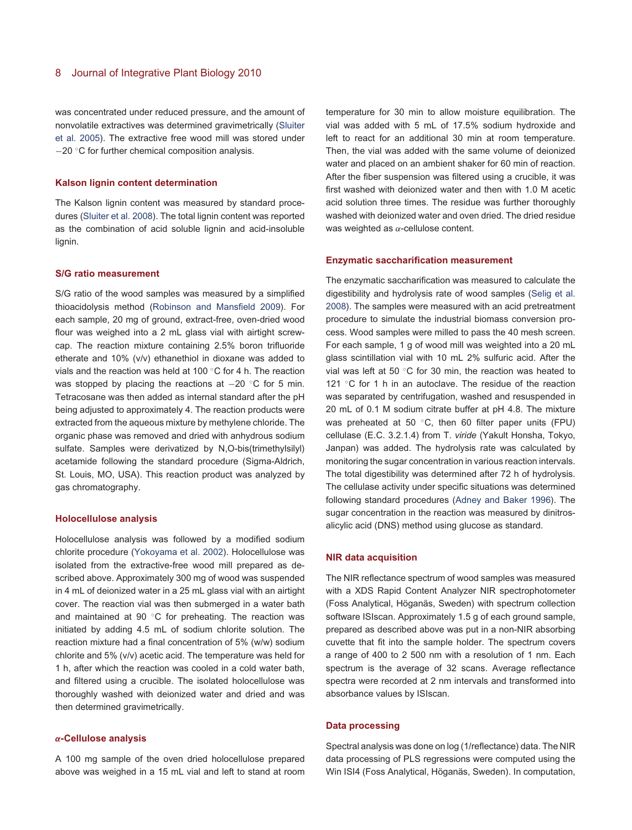was concentrated under reduced pressure, and the amount of nonvolatile extractives was determined gravimetrically [\(Sluiter](#page-9-5) [et al. 2005\)](#page-9-5). The extractive free wood mill was stored under −20 ◦C for further chemical composition analysis.

### **Kalson lignin content determination**

The Kalson lignin content was measured by standard procedures [\(Sluiter et al. 2008\)](#page-9-6). The total lignin content was reported as the combination of acid soluble lignin and acid-insoluble lignin.

#### **S/G ratio measurement**

S/G ratio of the wood samples was measured by a simplified thioacidolysis method [\(Robinson and Mansfield 2009\)](#page-8-10). For each sample, 20 mg of ground, extract-free, oven-dried wood flour was weighed into a 2 mL glass vial with airtight screwcap. The reaction mixture containing 2.5% boron trifluoride etherate and 10% (v/v) ethanethiol in dioxane was added to vials and the reaction was held at 100 ◦C for 4 h. The reaction was stopped by placing the reactions at −20 °C for 5 min. Tetracosane was then added as internal standard after the pH being adjusted to approximately 4. The reaction products were extracted from the aqueous mixture by methylene chloride. The organic phase was removed and dried with anhydrous sodium sulfate. Samples were derivatized by N,O-bis(trimethylsilyl) acetamide following the standard procedure (Sigma-Aldrich, St. Louis, MO, USA). This reaction product was analyzed by gas chromatography.

#### **Holocellulose analysis**

Holocellulose analysis was followed by a modified sodium chlorite procedure [\(Yokoyama et al. 2002\)](#page-9-7). Holocellulose was isolated from the extractive-free wood mill prepared as described above. Approximately 300 mg of wood was suspended in 4 mL of deionized water in a 25 mL glass vial with an airtight cover. The reaction vial was then submerged in a water bath and maintained at 90 ◦C for preheating. The reaction was initiated by adding 4.5 mL of sodium chlorite solution. The reaction mixture had a final concentration of 5% (w/w) sodium chlorite and 5% (v/v) acetic acid. The temperature was held for 1 h, after which the reaction was cooled in a cold water bath, and filtered using a crucible. The isolated holocellulose was thoroughly washed with deionized water and dried and was then determined gravimetrically.

### *α***-Cellulose analysis**

A 100 mg sample of the oven dried holocellulose prepared above was weighed in a 15 mL vial and left to stand at room

temperature for 30 min to allow moisture equilibration. The vial was added with 5 mL of 17.5% sodium hydroxide and left to react for an additional 30 min at room temperature. Then, the vial was added with the same volume of deionized water and placed on an ambient shaker for 60 min of reaction. After the fiber suspension was filtered using a crucible, it was first washed with deionized water and then with 1.0 M acetic acid solution three times. The residue was further thoroughly washed with deionized water and oven dried. The dried residue was weighted as  $\alpha$ -cellulose content.

#### **Enzymatic saccharification measurement**

The enzymatic saccharification was measured to calculate the digestibility and hydrolysis rate of wood samples [\(Selig et al.](#page-8-18) [2008\)](#page-8-18). The samples were measured with an acid pretreatment procedure to simulate the industrial biomass conversion process. Wood samples were milled to pass the 40 mesh screen. For each sample, 1 g of wood mill was weighted into a 20 mL glass scintillation vial with 10 mL 2% sulfuric acid. After the vial was left at 50 ◦C for 30 min, the reaction was heated to 121 ◦C for 1 h in an autoclave. The residue of the reaction was separated by centrifugation, washed and resuspended in 20 mL of 0.1 M sodium citrate buffer at pH 4.8. The mixture was preheated at 50 ℃, then 60 filter paper units (FPU) cellulase (E.C. 3.2.1.4) from T. *viride* (Yakult Honsha, Tokyo, Janpan) was added. The hydrolysis rate was calculated by monitoring the sugar concentration in various reaction intervals. The total digestibility was determined after 72 h of hydrolysis. The cellulase activity under specific situations was determined following standard procedures [\(Adney and Baker 1996\)](#page-8-19). The sugar concentration in the reaction was measured by dinitrosalicylic acid (DNS) method using glucose as standard.

#### **NIR data acquisition**

The NIR reflectance spectrum of wood samples was measured with a XDS Rapid Content Analyzer NIR spectrophotometer (Foss Analytical, Höganäs, Sweden) with spectrum collection software ISIscan. Approximately 1.5 g of each ground sample, prepared as described above was put in a non-NIR absorbing cuvette that fit into the sample holder. The spectrum covers a range of 400 to 2 500 nm with a resolution of 1 nm. Each spectrum is the average of 32 scans. Average reflectance spectra were recorded at 2 nm intervals and transformed into absorbance values by ISIscan.

### **Data processing**

Spectral analysis was done on log (1/reflectance) data. The NIR data processing of PLS regressions were computed using the Win ISI4 (Foss Analytical, Höganäs, Sweden). In computation,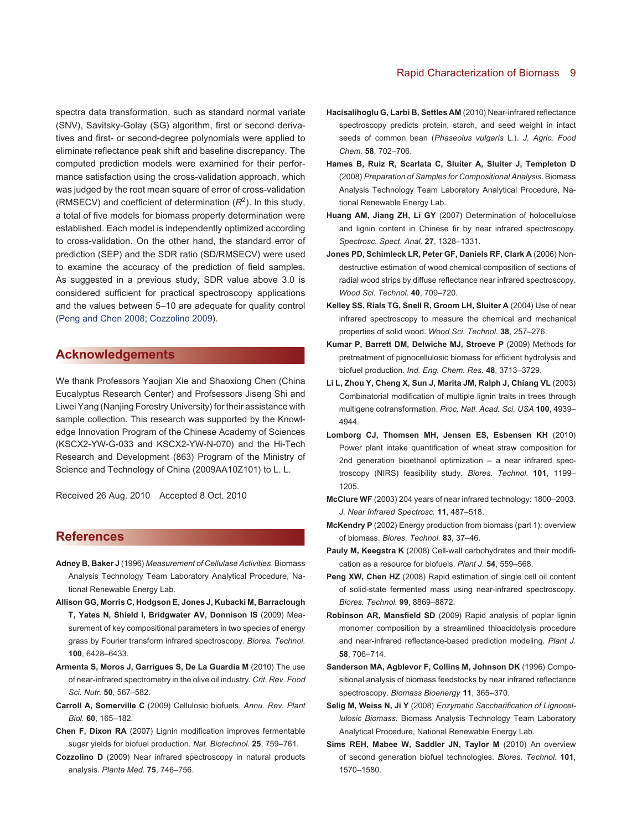spectra data transformation, such as standard normal variate (SNV), Savitsky-Golay (SG) algorithm, first or second derivatives and first- or second-degree polynomials were applied to eliminate reflectance peak shift and baseline discrepancy. The computed prediction models were examined for their performance satisfaction using the cross-validation approach, which was judged by the root mean square of error of cross-validation (RMSECV) and coefficient of determination  $(R<sup>2</sup>)$ . In this study, a total of five models for biomass property determination were established. Each model is independently optimized according to cross-validation. On the other hand, the standard error of prediction (SEP) and the SDR ratio (SD/RMSECV) were used to examine the accuracy of the prediction of field samples. As suggested in a previous study, SDR value above 3.0 is considered sufficient for practical spectroscopy applications and the values between 5–10 are adequate for quality control [\(Peng and Chen 2008;](#page-8-20) [Cozzolino 2009\)](#page-8-21).

# **[Acknowledgements](/app/teTeX/techbooks/blackwell/jipb/Head.eps)**

We thank Professors Yaojian Xie and Shaoxiong Chen (China Eucalyptus Research Center) and Profsessors Jiseng Shi and Liwei Yang (Nanjing Forestry University) for their assistance with sample collection. This research was supported by the Knowledge Innovation Program of the Chinese Academy of Sciences (KSCX2-YW-G-033 and KSCX2-YW-N-070) and the Hi-Tech Research and Development (863) Program of the Ministry of Science and Technology of China (2009AA10Z101) to L. L.

Received 26 Aug. 2010 Accepted 8 Oct. 2010

# **[References](/app/teTeX/techbooks/blackwell/jipb/Head.eps)**

- <span id="page-8-19"></span>**Adney B, Baker J** (1996) *Measurement of Cellulase Activities*. Biomass Analysis Technology Team Laboratory Analytical Procedure, National Renewable Energy Lab.
- <span id="page-8-4"></span>**Allison GG, Morris C, Hodgson E, Jones J, Kubacki M, Barraclough T, Yates N, Shield I, Bridgwater AV, Donnison IS** (2009) Measurement of key compositional parameters in two species of energy grass by Fourier transform infrared spectroscopy. *Biores. Technol.* **100**, 6428–6433.
- <span id="page-8-11"></span>**Armenta S, Moros J, Garrigues S, De La Guardia M** (2010) The use of near-infrared spectrometry in the olive oil industry. *Crit. Rev. Food Sci. Nutr.* **50**, 567–582.
- <span id="page-8-15"></span>**Carroll A, Somerville C** (2009) Cellulosic biofuels. *Annu. Rev. Plant Biol.* **60**, 165–182.
- <span id="page-8-14"></span>**Chen F, Dixon RA** (2007) Lignin modification improves fermentable sugar yields for biofuel production. *Nat. Biotechnol.* **25**, 759–761.
- <span id="page-8-21"></span>**Cozzolino D** (2009) Near infrared spectroscopy in natural products analysis. *Planta Med.* **75**, 746–756.

## Rapid Characterization of Biomass 9

- <span id="page-8-12"></span>**Hacisalihoglu G, Larbi B, Settles AM** (2010) Near-infrared reflectance spectroscopy predicts protein, starch, and seed weight in intact seeds of common bean (*Phaseolus vulgaris* L.). *J. Agric. Food Chem.* **58**, 702–706.
- <span id="page-8-17"></span>**Hames B, Ruiz R, Scarlata C, Sluiter A, Sluiter J, Templeton D** (2008) *Preparation of Samples for Compositional Analysis*. Biomass Analysis Technology Team Laboratory Analytical Procedure, National Renewable Energy Lab.
- <span id="page-8-7"></span>**Huang AM, Jiang ZH, Li GY** (2007) Determination of holocellulose and lignin content in Chinese fir by near infrared spectroscopy. *Spectrosc. Spect. Anal.* **27**, 1328–1331.
- <span id="page-8-9"></span>**Jones PD, Schimleck LR, Peter GF, Daniels RF, Clark A** (2006) Nondestructive estimation of wood chemical composition of sections of radial wood strips by diffuse reflectance near infrared spectroscopy. *Wood Sci. Technol.* **40**, 709–720.
- <span id="page-8-8"></span>**Kelley SS, Rials TG, Snell R, Groom LH, Sluiter A** (2004) Use of near infrared spectroscopy to measure the chemical and mechanical properties of solid wood. *Wood Sci. Technol.* **38**, 257–276.
- <span id="page-8-2"></span>**Kumar P, Barrett DM, Delwiche MJ, Stroeve P** (2009) Methods for pretreatment of pignocellulosic biomass for efficient hydrolysis and biofuel production. *Ind. Eng. Chem. Res.* **48**, 3713–3729.
- <span id="page-8-13"></span>**Li L, Zhou Y, Cheng X, Sun J, Marita JM, Ralph J, Chiang VL** (2003) Combinatorial modification of multiple lignin traits in trees through multigene cotransformation. *Proc. Natl. Acad. Sci. USA* **100**, 4939– 4944.
- <span id="page-8-6"></span>**Lomborg CJ, Thomsen MH, Jensen ES, Esbensen KH** (2010) Power plant intake quantification of wheat straw composition for 2nd generation bioethanol optimization – a near infrared spectroscopy (NIRS) feasibility study. *Biores. Technol.* **101**, 1199– 1205.
- <span id="page-8-5"></span>**McClure WF** (2003) 204 years of near infrared technology: 1800–2003. *J. Near Infrared Spectrosc.* **11**, 487–518.
- <span id="page-8-1"></span>**McKendry P** (2002) Energy production from biomass (part 1): overview of biomass. *Biores. Technol.* **83**, 37–46.
- <span id="page-8-16"></span>**Pauly M, Keegstra K** (2008) Cell-wall carbohydrates and their modification as a resource for biofuels. *Plant J.* **54**, 559–568.
- <span id="page-8-20"></span>Peng XW, Chen HZ (2008) Rapid estimation of single cell oil content of solid-state fermented mass using near-infrared spectroscopy. *Biores. Technol.* **99**, 8869–8872.
- <span id="page-8-10"></span>**Robinson AR, Mansfield SD** (2009) Rapid analysis of poplar lignin monomer composition by a streamlined thioacidolysis procedure and near-infrared reflectance-based prediction modeling. *Plant J.* **58**, 706–714.
- <span id="page-8-3"></span>**Sanderson MA, Agblevor F, Collins M, Johnson DK** (1996) Compositional analysis of biomass feedstocks by near infrared reflectance spectroscopy. *Biomass Bioenergy* **11**, 365–370.
- <span id="page-8-18"></span>**Selig M, Weiss N, Ji Y** (2008) *Enzymatic Saccharification of Lignocellulosic Biomass*. Biomass Analysis Technology Team Laboratory Analytical Procedure, National Renewable Energy Lab.
- <span id="page-8-0"></span>**Sims REH, Mabee W, Saddler JN, Taylor M** (2010) An overview of second generation biofuel technologies. *Biores. Technol.* **101**, 1570–1580.